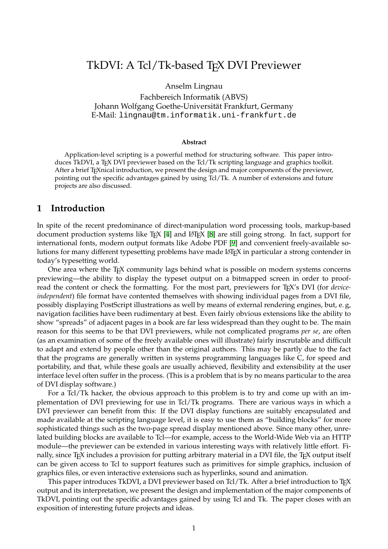# TkDVI: A Tcl/Tk-based TFX DVI Previewer

Anselm Lingnau

Fachbereich Informatik (ABVS) Johann Wolfgang Goethe-Universitat Frankfurt, Germany ¨ E-Mail: lingnau@tm.informatik.uni-frankfurt.de

#### **Abstract**

Application-level scripting is a powerful method for structuring software. This paper introduces TkDVI, a T<sub>E</sub>X DVI previewer based on the Tcl/Tk scripting language and graphics toolkit. After a brief TEXnical introduction, we present the design and major components of the previewer, pointing out the specific advantages gained by using Tcl/Tk. A number of extensions and future projects are also discussed.

### **1 Introduction**

In spite of the recent predominance of direct-manipulation word processing tools, markup-based document production systems like T<sub>E</sub>X [[4](#page-9-0)] and LAT<sub>E</sub>X [[8](#page-9-1)] are still going strong. In fact, support for international fonts, modern output formats like Adobe PDF [[9](#page-9-2)] and convenient freely-available solutions for many different typesetting problems have made LAT<sub>E</sub>X in particular a strong contender in today's typesetting world.

One area where the TEX community lags behind what is possible on modern systems concerns previewing—the ability to display the typeset output on a bitmapped screen in order to proofread the content or check the formatting. For the most part, previewers for TEX's DVI (for *deviceindependent*) file format have contented themselves with showing individual pages from a DVI file, possibly displaying PostScript illustrations as well by means of external rendering engines, but, e. g, navigation facilities have been rudimentary at best. Even fairly obvious extensions like the ability to show "spreads" of adjacent pages in a book are far less widespread than they ought to be. The main reason for this seems to be that DVI previewers, while not complicated programs *per se*, are often (as an examination of some of the freely available ones will illustrate) fairly inscrutable and difficult to adapt and extend by people other than the original authors. This may be partly due to the fact that the programs are generally written in systems programming languages like C, for speed and portability, and that, while these goals are usually achieved, flexibility and extensibility at the user interface level often suffer in the process. (This is a problem that is by no means particular to the area of DVI display software.)

For a Tcl/Tk hacker, the obvious approach to this problem is to try and come up with an implementation of DVI previewing for use in Tcl/Tk programs. There are various ways in which a DVI previewer can benefit from this: If the DVI display functions are suitably encapsulated and made available at the scripting language level, it is easy to use them as "building blocks" for more sophisticated things such as the two-page spread display mentioned above. Since many other, unrelated building blocks are available to Tcl—for example, access to the World-Wide Web via an HTTP module—the previewer can be extended in various interesting ways with relatively little effort. Finally, since T<sub>E</sub>X includes a provision for putting arbitrary material in a DVI file, the T<sub>E</sub>X output itself can be given access to Tcl to support features such as primitives for simple graphics, inclusion of graphics files, or even interactive extensions such as hyperlinks, sound and animation.

This paper introduces TkDVI, a DVI previewer based on Tcl/Tk. After a brief introduction to T<sub>E</sub>X output and its interpretation, we present the design and implementation of the major components of TkDVI, pointing out the specific advantages gained by using Tcl and Tk. The paper closes with an exposition of interesting future projects and ideas.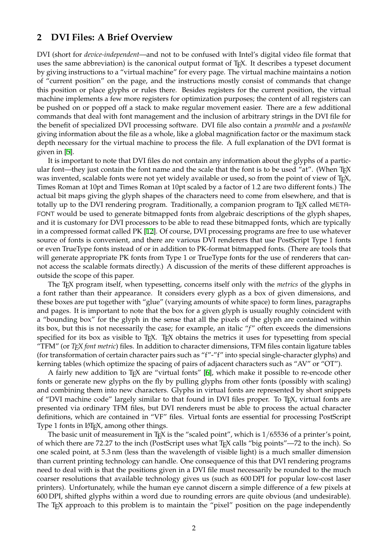### **2 DVI Files: A Brief Overview**

DVI (short for *device-independent*—and not to be confused with Intel's digital video file format that uses the same abbreviation) is the canonical output format of T<sub>E</sub>X. It describes a typeset document by giving instructions to a "virtual machine" for every page. The virtual machine maintains a notion of "current position" on the page, and the instructions mostly consist of commands that change this position or place glyphs or rules there. Besides registers for the current position, the virtual machine implements a few more registers for optimization purposes; the content of all registers can be pushed on or popped off a stack to make regular movement easier. There are a few additional commands that deal with font management and the inclusion of arbitrary strings in the DVI file for the benefit of specialized DVI processing software. DVI file also contain a *preamble* and a *postamble* giving information about the file as a whole, like a global magnification factor or the maximum stack depth necessary for the virtual machine to process the file. A full explanation of the DVI format is given in [\[5\]](#page-9-3).

It is important to note that DVI files do not contain any information about the glyphs of a particular font—they just contain the font name and the scale that the font is to be used "at". (When T<sub>EX</sub> was invented, scalable fonts were not yet widely available or used, so from the point of view of T<sub>E</sub>X, Times Roman at 10pt and Times Roman at 10pt scaled by a factor of 1.2 are two different fonts.) The actual bit maps giving the glyph shapes of the characters need to come from elsewhere, and that is totally up to the DVI rendering program. Traditionally, a companion program to TEX called META-FONT would be used to generate bitmapped fonts from algebraic descriptions of the glyph shapes, and it is customary for DVI processors to be able to read these bitmapped fonts, which are typically in a compressed format called PK [[12](#page-9-4)]. Of course, DVI processing programs are free to use whatever source of fonts is convenient, and there are various DVI renderers that use PostScript Type 1 fonts or even TrueType fonts instead of or in addition to PK-format bitmapped fonts. (There are tools that will generate appropriate PK fonts from Type 1 or TrueType fonts for the use of renderers that cannot access the scalable formats directly.) A discussion of the merits of these different approaches is outside the scope of this paper.

The TEX program itself, when typesetting, concerns itself only with the *metrics* of the glyphs in a font rather than their appearance. It considers every glyph as a box of given dimensions, and these boxes are put together with "glue" (varying amounts of white space) to form lines, paragraphs and pages. It is important to note that the box for a given glyph is usually roughly coincident with a "bounding box" for the glyph in the sense that all the pixels of the glyph are contained within its box, but this is not necessarily the case; for example, an italic "f" often exceeds the dimensions specified for its box as visible to T<sub>EX</sub>. T<sub>EX</sub> obtains the metrics it uses for typesetting from special "TFM" (or *TEX font metric*) files. In addition to character dimensions, TFM files contain ligature tables (for transformation of certain character pairs such as "f"-"f" into special single-character glyphs) and kerning tables (which optimize the spacing of pairs of adjacent characters such as "AV" or "OT").

A fairly new addition to TEX are "virtual fonts" [[6](#page-9-5)], which make it possible to re-encode other fonts or generate new glyphs on the fly by pulling glyphs from other fonts (possibly with scaling) and combining them into new characters. Glyphs in virtual fonts are represented by short snippets of "DVI machine code" largely similar to that found in DVI files proper. To TFX, virtual fonts are presented via ordinary TFM files, but DVI renderers must be able to process the actual character definitions, which are contained in "VF" files. Virtual fonts are essential for processing PostScript Type 1 fonts in LAT<sub>E</sub>X, among other things.

The basic unit of measurement in T<sub>E</sub>X is the "scaled point", which is  $1/65536$  of a printer's point, of which there are 72.27 to the inch (PostScript uses what TEX calls "big points"—72 to the inch). So one scaled point, at 5.3 nm (less than the wavelength of visible light) is a much smaller dimension than current printing technology can handle. One consequence of this that DVI rendering programs need to deal with is that the positions given in a DVI file must necessarily be rounded to the much coarser resolutions that available technology gives us (such as 600 DPI for popular low-cost laser printers). Unfortunately, while the human eye cannot discern a simple difference of a few pixels at 600 DPI, shifted glyphs within a word due to rounding errors are quite obvious (and undesirable). The T<sub>E</sub>X approach to this problem is to maintain the "pixel" position on the page independently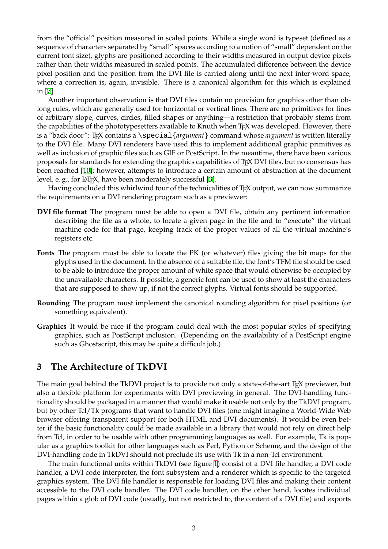from the "official" position measured in scaled points. While a single word is typeset (defined as a sequence of characters separated by "small" spaces according to a notion of "small" dependent on the current font size), glyphs are positioned according to their widths measured in output device pixels rather than their widths measured in scaled points. The accumulated difference between the device pixel position and the position from the DVI file is carried along until the next inter-word space, where a correction is, again, invisible. There is a canonical algorithm for this which is explained in [[7](#page-9-6)].

Another important observation is that DVI files contain no provision for graphics other than oblong rules, which are generally used for horizontal or vertical lines. There are no primitives for lines of arbitrary slope, curves, circles, filled shapes or anything—a restriction that probably stems from the capabilities of the phototypesetters available to Knuth when TFX was developed. However, there is a "back door": T<sub>F</sub>X contains a \special{*argument*} command whose *argument* is written literally to the DVI file. Many DVI renderers have used this to implement additional graphic primitives as well as inclusion of graphic files such as GIF or PostScript. In the meantime, there have been various proposals for standards for extending the graphics capabilities of TEX DVI files, but no consensus has been reached [[10](#page-9-7)]; however, attempts to introduce a certain amount of abstraction at the document level, e. g., for LAT<sub>E</sub>X, have been moderately successful [[3\]](#page-9-8).

Having concluded this whirlwind tour of the technicalities of TEX output, we can now summarize the requirements on a DVI rendering program such as a previewer:

- **DVI file format** The program must be able to open a DVI file, obtain any pertinent information describing the file as a whole, to locate a given page in the file and to "execute" the virtual machine code for that page, keeping track of the proper values of all the virtual machine's registers etc.
- **Fonts** The program must be able to locate the PK (or whatever) files giving the bit maps for the glyphs used in the document. In the absence of a suitable file, the font's TFM file should be used to be able to introduce the proper amount of white space that would otherwise be occupied by the unavailable characters. If possible, a generic font can be used to show at least the characters that are supposed to show up, if not the correct glyphs. Virtual fonts should be supported.
- **Rounding** The program must implement the canonical rounding algorithm for pixel positions (or something equivalent).
- **Graphics** It would be nice if the program could deal with the most popular styles of specifying graphics, such as PostScript inclusion. (Depending on the availability of a PostScript engine such as Ghostscript, this may be quite a difficult job.)

### **3 The Architecture of TkDVI**

The main goal behind the TkDVI project is to provide not only a state-of-the-art TEX previewer, but also a flexible platform for experiments with DVI previewing in general. The DVI-handling functionality should be packaged in a manner that would make it usable not only by the TkDVI program, but by other Tcl/Tk programs that want to handle DVI files (one might imagine a World-Wide Web browser offering transparent support for both HTML and DVI documents). It would be even better if the basic functionality could be made available in a library that would not rely on direct help from Tcl, in order to be usable with other programming languages as well. For example, Tk is popular as a graphics toolkit for other languages such as Perl, Python or Scheme, and the design of the DVI-handling code in TkDVI should not preclude its use with Tk in a non-Tcl environment.

The main functional units within TkDVI (see figure [1\)](#page-3-0) consist of a DVI file handler, a DVI code handler, a DVI code interpreter, the font subsystem and a renderer which is specific to the targeted graphics system. The DVI file handler is responsible for loading DVI files and making their content accessible to the DVI code handler. The DVI code handler, on the other hand, locates individual pages within a glob of DVI code (usually, but not restricted to, the content of a DVI file) and exports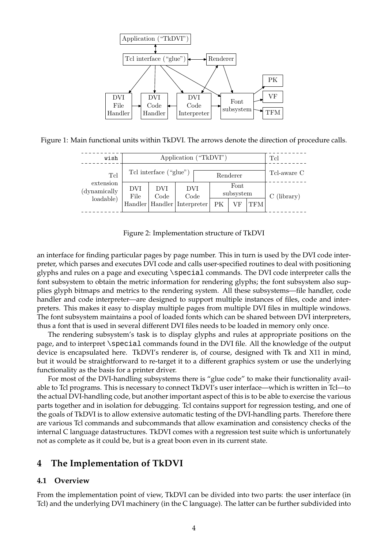

Figure 1: Main functional units within TkDVI. The arrows denote the direction of procedure calls.

<span id="page-3-0"></span>

| wish                                          | Application ("TkDVI")             |    |             |          |                   |     |             | Tcl           |
|-----------------------------------------------|-----------------------------------|----|-------------|----------|-------------------|-----|-------------|---------------|
| Tcl<br>extension<br>(dynamically<br>loadable) | Tcl interface ("glue")            |    |             | Renderer |                   |     | Tcl-aware C |               |
|                                               | <b>DVI</b><br>DVI<br>Code<br>File |    | DVI<br>Code |          | Font<br>subsystem |     |             | $C$ (library) |
|                                               | Handler   Handler   Interpreter   | ΡК |             |          | VF                | TFM |             |               |

<span id="page-3-1"></span>Figure 2: Implementation structure of TkDVI

an interface for finding particular pages by page number. This in turn is used by the DVI code interpreter, which parses and executes DVI code and calls user-specified routines to deal with positioning glyphs and rules on a page and executing \special commands. The DVI code interpreter calls the font subsystem to obtain the metric information for rendering glyphs; the font subsystem also supplies glyph bitmaps and metrics to the rendering system. All these subsystems—file handler, code handler and code interpreter—are designed to support multiple instances of files, code and interpreters. This makes it easy to display multiple pages from multiple DVI files in multiple windows. The font subsystem maintains a pool of loaded fonts which can be shared between DVI interpreters, thus a font that is used in several different DVI files needs to be loaded in memory only once.

The rendering subsystem's task is to display glyphs and rules at appropriate positions on the page, and to interpret \special commands found in the DVI file. All the knowledge of the output device is encapsulated here. TkDVI's renderer is, of course, designed with Tk and X11 in mind, but it would be straightforward to re-target it to a different graphics system or use the underlying functionality as the basis for a printer driver.

For most of the DVI-handling subsystems there is "glue code" to make their functionality available to Tcl programs. This is necessary to connect TkDVI's user interface—which is written in Tcl—to the actual DVI-handling code, but another important aspect of this is to be able to exercise the various parts together and in isolation for debugging. Tcl contains support for regression testing, and one of the goals of TkDVI is to allow extensive automatic testing of the DVI-handling parts. Therefore there are various Tcl commands and subcommands that allow examination and consistency checks of the internal C language datastructures. TkDVI comes with a regression test suite which is unfortunately not as complete as it could be, but is a great boon even in its current state.

## **4 The Implementation of TkDVI**

### **4.1 Overview**

From the implementation point of view, TkDVI can be divided into two parts: the user interface (in Tcl) and the underlying DVI machinery (in the C language). The latter can be further subdivided into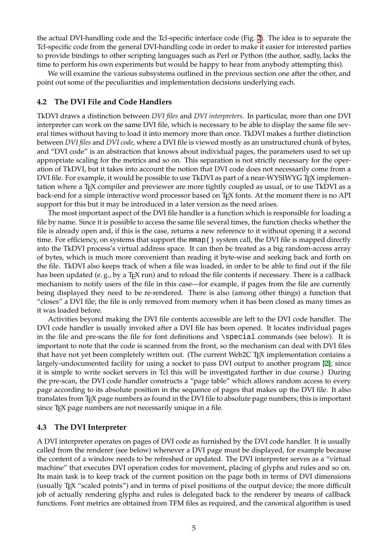the actual DVI-handling code and the Tcl-specific interface code (Fig. [2](#page-3-1)). The idea is to separate the Tcl-specific code from the general DVI-handling code in order to make it easier for interested parties to provide bindings to other scripting languages such as Perl or Python (the author, sadly, lacks the time to perform his own experiments but would be happy to hear from anybody attempting this).

We will examine the various subsystems outlined in the previous section one after the other, and point out some of the peculiarities and implementation decisions underlying each.

#### **4.2 The DVI File and Code Handlers**

TkDVI draws a distinction between *DVI files* and *DVI interpreters*. In particular, more than one DVI interpreter can work on the same DVI file, which is necessary to be able to display the same file several times without having to load it into memory more than once. TkDVI makes a further distinction between *DVI files* and *DVI code*, where a DVI file is viewed mostly as an unstructured chunk of bytes, and "DVI code" is an abstraction that knows about individual pages, the parameters used to set up appropriate scaling for the metrics and so on. This separation is not strictly necessary for the operation of TkDVI, but it takes into account the notion that DVI code does not necessarily come from a DVI file. For example, it would be possible to use TkDVI as part of a near-WYSIWYG TEX implementation where a T<sub>E</sub>X compiler and previewer are more tightly coupled as usual, or to use TkDVI as a back-end for a simple interactive word processor based on TEX fonts. At the moment there is no API support for this but it may be introduced in a later version as the need arises.

The most important aspect of the DVI file handler is a function which is responsible for loading a file by name. Since it is possible to access the same file several times, the function checks whether the file is already open and, if this is the case, returns a new reference to it without opening it a second time. For efficiency, on systems that support the mmap () system call, the DVI file is mapped directly into the TkDVI process's virtual address space. It can then be treated as a big random-access array of bytes, which is much more convenient than reading it byte-wise and seeking back and forth on the file. TkDVI also keeps track of when a file was loaded, in order to be able to find out if the file has been updated (e.g., by a T<sub>E</sub>X run) and to reload the file contents if necessary. There is a callback mechanism to notify users of the file in this case—for example, if pages from the file are currently being displayed they need to be re-rendered. There is also (among other things) a function that "closes" a DVI file; the file is only removed from memory when it has been closed as many times as it was loaded before.

Activities beyond making the DVI file contents accessible are left to the DVI code handler. The DVI code handler is usually invoked after a DVI file has been opened. It locates individual pages in the file and pre-scans the file for font definitions and  $\spadesuit$  and commands (see below). It is important to note that the code is scanned from the front, so the mechanism can deal with DVI files that have not yet been completely written out. (The current Web2C T<sub>E</sub>X implementation contains a largely-undocumented facility for using a socket to pass DVI output to another program [[2](#page-9-9)]; since it is simple to write socket servers in Tcl this will be investigated further in due course.) During the pre-scan, the DVI code handler constructs a "page table" which allows random access to every page according to its absolute position in the sequence of pages that makes up the DVI file. It also translates from T<sub>E</sub>X page numbers as found in the DVI file to absolute page numbers; this is important since T<sub>E</sub>X page numbers are not necessarily unique in a file.

#### **4.3 The DVI Interpreter**

A DVI interpreter operates on pages of DVI code as furnished by the DVI code handler. It is usually called from the renderer (see below) whenever a DVI page must be displayed, for example because the content of a window needs to be refreshed or updated. The DVI interpreter serves as a "virtual machine" that executes DVI operation codes for movement, placing of glyphs and rules and so on. Its main task is to keep track of the current position on the page both in terms of DVI dimensions (usually TEX "scaled points") and in terms of pixel positions of the output device; the more difficult job of actually rendering glyphs and rules is delegated back to the renderer by means of callback functions. Font metrics are obtained from TFM files as required, and the canonical algorithm is used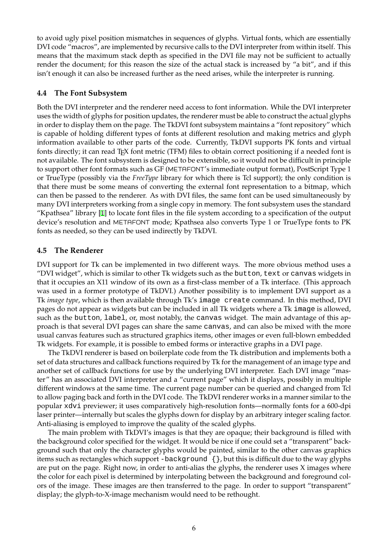to avoid ugly pixel position mismatches in sequences of glyphs. Virtual fonts, which are essentially DVI code "macros", are implemented by recursive calls to the DVI interpreter from within itself. This means that the maximum stack depth as specified in the DVI file may not be sufficient to actually render the document; for this reason the size of the actual stack is increased by "a bit", and if this isn't enough it can also be increased further as the need arises, while the interpreter is running.

### **4.4 The Font Subsystem**

Both the DVI interpreter and the renderer need access to font information. While the DVI interpreter uses the width of glyphs for position updates, the renderer must be able to construct the actual glyphs in order to display them on the page. The TkDVI font subsystem maintains a "font repository" which is capable of holding different types of fonts at different resolution and making metrics and glyph information available to other parts of the code. Currently, TkDVI supports PK fonts and virtual fonts directly; it can read T<sub>E</sub>X font metric (TFM) files to obtain correct positioning if a needed font is not available. The font subsystem is designed to be extensible, so it would not be difficult in principle to support other font formats such as GF (METAFONT's immediate output format), PostScript Type 1 or TrueType (possibly via the *FreeType* library for which there is Tcl support); the only condition is that there must be some means of converting the external font representation to a bitmap, which can then be passed to the renderer. As with DVI files, the same font can be used simultaneously by many DVI interpreters working from a single copy in memory. The font subsystem uses the standard "Kpathsea" library [[1](#page-9-10)] to locate font files in the file system according to a specification of the output device's resolution and METAFONT mode; Kpathsea also converts Type 1 or TrueType fonts to PK fonts as needed, so they can be used indirectly by TkDVI.

### **4.5 The Renderer**

DVI support for Tk can be implemented in two different ways. The more obvious method uses a "DVI widget", which is similar to other Tk widgets such as the button, text or canvas widgets in that it occupies an X11 window of its own as a first-class member of a Tk interface. (This approach was used in a former prototype of TkDVI.) Another possibility is to implement DVI support as a Tk *image type*, which is then available through Tk's image create command. In this method, DVI pages do not appear as widgets but can be included in all Tk widgets where a Tk image is allowed, such as the button, label, or, most notably, the canvas widget. The main advantage of this approach is that several DVI pages can share the same canvas, and can also be mixed with the more usual canvas features such as structured graphics items, other images or even full-blown embedded Tk widgets. For example, it is possible to embed forms or interactive graphs in a DVI page.

The TkDVI renderer is based on boilerplate code from the Tk distribution and implements both a set of data structures and callback functions required by Tk for the management of an image type and another set of callback functions for use by the underlying DVI interpreter. Each DVI image "master" has an associated DVI interpreter and a "current page" which it displays, possibly in multiple different windows at the same time. The current page number can be queried and changed from Tcl to allow paging back and forth in the DVI code. The TkDVI renderer works in a manner similar to the popular xdvi previewer; it uses comparatively high-resolution fonts—normally fonts for a 600-dpi laser printer—internally but scales the glyphs down for display by an arbitrary integer scaling factor. Anti-aliasing is employed to improve the quality of the scaled glyphs.

The main problem with TkDVI's images is that they are opaque; their background is filled with the background color specified for the widget. It would be nice if one could set a "transparent" background such that only the character glyphs would be painted, similar to the other canvas graphics items such as rectangles which support -background {}, but this is difficult due to the way glyphs are put on the page. Right now, in order to anti-alias the glyphs, the renderer uses X images where the color for each pixel is determined by interpolating between the background and foreground colors of the image. These images are then transferred to the page. In order to support "transparent" display; the glyph-to-X-image mechanism would need to be rethought.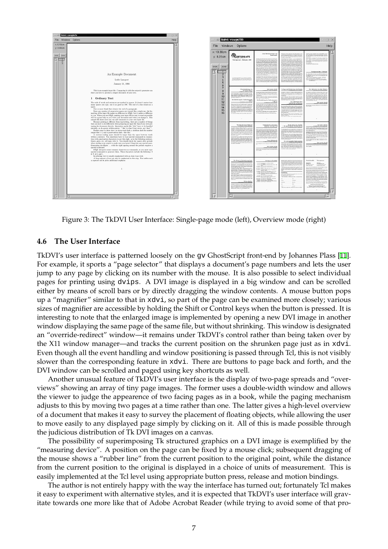

Figure 3: The TkDVI User Interface: Single-page mode (left), Overview mode (right)

#### **4.6 The User Interface**

TkDVI's user interface is patterned loosely on the gv GhostScript front-end by Johannes Plass [[11](#page-9-11)]. For example, it sports a "page selector" that displays a document's page numbers and lets the user jump to any page by clicking on its number with the mouse. It is also possible to select individual pages for printing using dvips. A DVI image is displayed in a big window and can be scrolled either by means of scroll bars or by directly dragging the window contents. A mouse button pops up a "magnifier" similar to that in xdvi, so part of the page can be examined more closely; various sizes of magnifier are accessible by holding the Shift or Control keys when the button is pressed. It is interesting to note that the enlarged image is implemented by opening a new DVI image in another window displaying the same page of the same file, but without shrinking. This window is designated an "override-redirect" window—it remains under TkDVI's control rather than being taken over by the X11 window manager—and tracks the current position on the shrunken page just as in xdvi. Even though all the event handling and window positioning is passed through Tcl, this is not visibly slower than the corresponding feature in xdvi. There are buttons to page back and forth, and the DVI window can be scrolled and paged using key shortcuts as well.

Another unusual feature of TkDVI's user interface is the display of two-page spreads and "overviews" showing an array of tiny page images. The former uses a double-width window and allows the viewer to judge the appearence of two facing pages as in a book, while the paging mechanism adjusts to this by moving two pages at a time rather than one. The latter gives a high-level overview of a document that makes it easy to survey the placement of floating objects, while allowing the user to move easily to any displayed page simply by clicking on it. All of this is made possible through the judicious distribution of Tk DVI images on a canvas.

The possibility of superimposing Tk structured graphics on a DVI image is exemplified by the "measuring device". A position on the page can be fixed by a mouse click; subsequent dragging of the mouse shows a "rubber line" from the current position to the original point, while the distance from the current position to the original is displayed in a choice of units of measurement. This is easily implemented at the Tcl level using appropriate button press, release and motion bindings.

The author is not entirely happy with the way the interface has turned out; fortunately Tcl makes it easy to experiment with alternative styles, and it is expected that TkDVI's user interface will gravitate towards one more like that of Adobe Acrobat Reader (while trying to avoid some of that pro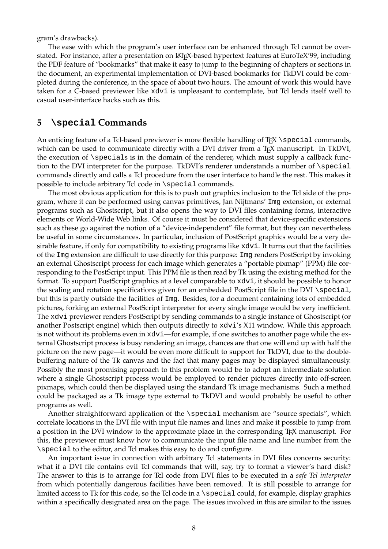gram's drawbacks).

The ease with which the program's user interface can be enhanced through Tcl cannot be overstated. For instance, after a presentation on L<sup>AT</sup>EX-based hypertext features at EuroTeX'99, including the PDF feature of "bookmarks" that make it easy to jump to the beginning of chapters or sections in the document, an experimental implementation of DVI-based bookmarks for TkDVI could be completed during the conference, in the space of about two hours. The amount of work this would have taken for a C-based previewer like xdvi is unpleasant to contemplate, but Tcl lends itself well to casual user-interface hacks such as this.

### **5 \special Commands**

An enticing feature of a Tcl-based previewer is more flexible handling of T<sub>E</sub>X \special commands, which can be used to communicate directly with a DVI driver from a T<sub>E</sub>X manuscript. In TkDVI, the execution of  $\simeq$  is in the domain of the renderer, which must supply a callback function to the DVI interpreter for the purpose. TkDVI's renderer understands a number of \special commands directly and calls a Tcl procedure from the user interface to handle the rest. This makes it possible to include arbitrary Tcl code in \special commands.

The most obvious application for this is to push out graphics inclusion to the Tcl side of the program, where it can be performed using canvas primitives, Jan Nijtmans' Img extension, or external programs such as Ghostscript, but it also opens the way to DVI files containing forms, interactive elements or World-Wide Web links. Of course it must be considered that device-specific extensions such as these go against the notion of a "device-independent" file format, but they can nevertheless be useful in some circumstances. In particular, inclusion of PostScript graphics would be a very desirable feature, if only for compatibility to existing programs like xdvi. It turns out that the facilities of the Img extension are difficult to use directly for this purpose: Img renders PostScript by invoking an external Ghostscript process for each image which generates a "portable pixmap" (PPM) file corresponding to the PostScript input. This PPM file is then read by Tk using the existing method for the format. To support PostScript graphics at a level comparable to xdvi, it should be possible to honor the scaling and rotation specifications given for an embedded PostScript file in the DVI  $\simeq$  special, but this is partly outside the facilities of Img. Besides, for a document containing lots of embedded pictures, forking an external PostScript interpreter for every single image would be very inefficient. The xdvi previewer renders PostScript by sending commands to a single instance of Ghostscript (or another Postscript engine) which then outputs directly to xdvi's X11 window. While this approach is not without its problems even in xdvi—for example, if one switches to another page while the external Ghostscript process is busy rendering an image, chances are that one will end up with half the picture on the new page—it would be even more difficult to support for TkDVI, due to the doublebuffering nature of the Tk canvas and the fact that many pages may be displayed simultaneously. Possibly the most promising approach to this problem would be to adopt an intermediate solution where a single Ghostscript process would be employed to render pictures directly into off-screen pixmaps, which could then be displayed using the standard Tk image mechanisms. Such a method could be packaged as a Tk image type external to TkDVI and would probably be useful to other programs as well.

Another straightforward application of the \special mechanism are "source specials", which correlate locations in the DVI file with input file names and lines and make it possible to jump from a position in the DVI window to the approximate place in the corresponding TEX manuscript. For this, the previewer must know how to communicate the input file name and line number from the \special to the editor, and Tcl makes this easy to do and configure.

An important issue in connection with arbitrary Tcl statements in DVI files concerns security: what if a DVI file contains evil Tcl commands that will, say, try to format a viewer's hard disk? The answer to this is to arrange for Tcl code from DVI files to be executed in a *safe Tcl interpreter* from which potentially dangerous facilities have been removed. It is still possible to arrange for limited access to Tk for this code, so the Tcl code in a \special could, for example, display graphics within a specifically designated area on the page. The issues involved in this are similar to the issues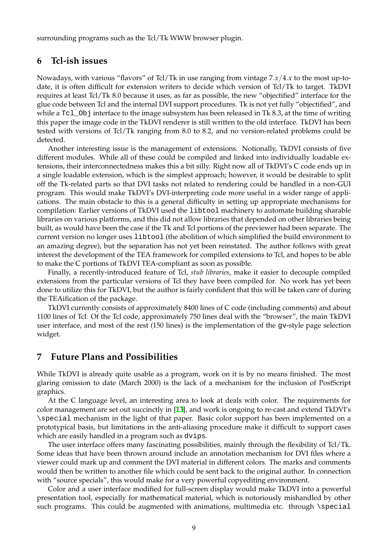surrounding programs such as the Tcl/Tk WWW browser plugin.

### **6 Tcl-ish issues**

Nowadays, with various "flavors" of Tcl/Tk in use ranging from vintage 7.*x*/4.*x* to the most up-todate, it is often difficult for extension writers to decide which version of Tcl/Tk to target. TkDVI requires at least Tcl/Tk 8.0 because it uses, as far as possible, the new "objectified" interface for the glue code between Tcl and the internal DVI support procedures. Tk is not yet fully "objectified", and while a Tcl\_Obj interface to the image subsystem has been released in Tk 8.3, at the time of writing this paper the image code in the TkDVI renderer is still written to the old interface. TkDVI has been tested with versions of Tcl/Tk ranging from 8.0 to 8.2, and no version-related problems could be detected.

Another interesting issue is the management of extensions. Notionally, TkDVI consists of five different modules. While all of these could be compiled and linked into individually loadable extensions, their interconnectedness makes this a bit silly. Right now all of TkDVI's C code ends up in a single loadable extension, which is the simplest approach; however, it would be desirable to split off the Tk-related parts so that DVI tasks not related to rendering could be handled in a non-GUI program. This would make TkDVI's DVI-interpreting code more useful in a wider range of applications. The main obstacle to this is a general difficulty in setting up appropriate mechanisms for compilation: Earlier versions of TkDVI used the libtool machinery to automate building sharable libraries on various platforms, and this did not allow libraries that depended on other libraries being built, as would have been the case if the Tk and Tcl portions of the previewer had been separate. The current version no longer uses libtool (the abolition of which simplified the build environment to an amazing degree), but the separation has not yet been reinstated. The author follows with great interest the development of the TEA framework for compiled extensions to Tcl, and hopes to be able to make the C portions of TkDVI TEA-compliant as soon as possible.

Finally, a recently-introduced feature of Tcl, *stub libraries*, make it easier to decouple compiled extensions from the particular versions of Tcl they have been compiled for. No work has yet been done to utilize this for TkDVI, but the author is fairly confident that this will be taken care of during the TEAification of the package.

TkDVI currently consists of approximately 8400 lines of C code (including comments) and about 1100 lines of Tcl. Of the Tcl code, approximately 750 lines deal with the "browser", the main TkDVI user interface, and most of the rest (150 lines) is the implementation of the gv-style page selection widget.

### **7 Future Plans and Possibilities**

While TkDVI is already quite usable as a program, work on it is by no means finished. The most glaring omission to date (March 2000) is the lack of a mechanism for the inclusion of PostScript graphics.

At the C language level, an interesting area to look at deals with color. The requirements for color management are set out succinctly in [\[13](#page-9-12)], and work is ongoing to re-cast and extend TkDVI's \special mechanism in the light of that paper. Basic color support has been implemented on a prototypical basis, but limitations in the anti-aliasing procedure make it difficult to support cases which are easily handled in a program such as dvips.

The user interface offers many fascinating possibilities, mainly through the flexibility of Tcl/Tk. Some ideas that have been thrown around include an annotation mechanism for DVI files where a viewer could mark up and comment the DVI material in different colors. The marks and comments would then be written to another file which could be sent back to the original author. In connection with "source specials", this would make for a very powerful copyediting environment.

Color and a user interface modified for full-screen display would make TkDVI into a powerful presentation tool, especially for mathematical material, which is notoriously mishandled by other such programs. This could be augmented with animations, multimedia etc. through \special